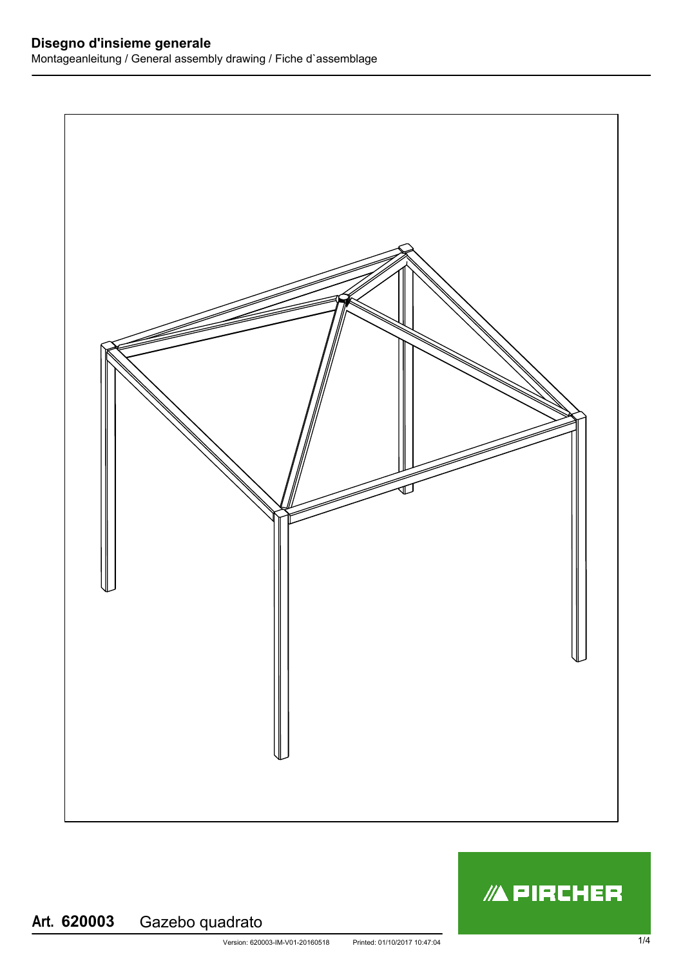

## **/APIRCHER**

## **Art.** Gazebo quadrato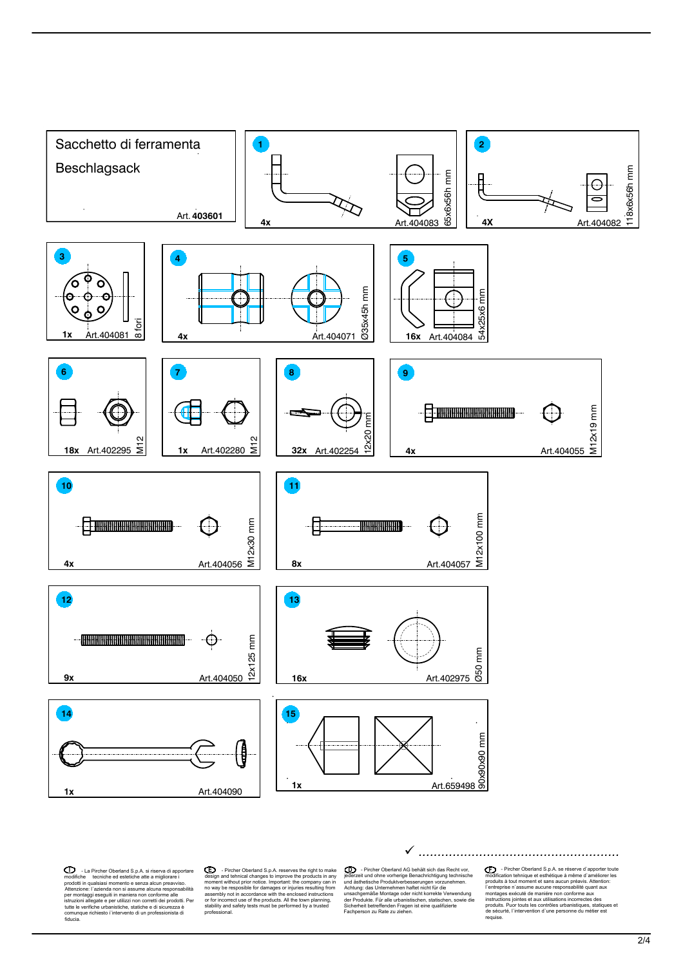

**Examplement Operarion S.p.A.** si riserva di apportane and segun and tehnical disp.A. respectively the technical constraints of the technical constraints and tehnical changes to important in qualisias moment to searce als

Let a richar Oberland S.p.A. reserves the right to make<br>  $\bigcirc$  in Fircher Oberland S.p.A. reserves the products in any interaction of the order of the order of the products in any interaction on why be resposible for damag

Consideration de Debraha de Debraha islamis de Consideration de Septembre de Consideration de Consideration de<br>Achiepis de Consideration de Consideration de Consideration de Consideration de Achiepis de Modulis de Modulis  ${\color{red}\blacktriangleright\quad \ \ \textit{4:} \ \ \textit{4:} \ \ \textit{4:} \ \ \textit{4:} \ \ \textit{4:} \ \ \textit{4:} \ \ \textit{4:} \ \ \textit{4:} \ \ \textit{4:} \ \ \textit{4:} \ \ \textit{4:} \ \ \textit{4:} \ \ \textit{4:} \ \ \textit{4:} \ \ \textit{4:} \ \ \textit{4:} \ \ \textit{4:} \ \ \textit{4:} \ \ \textit{4:} \ \ \textit{4:} \ \ \textit{4:} \ \ \textit{4:} \ \ \textit{4:}$ 

**CO** - Pircher Oberland S.p.A. se réserve d'apporter toute<br>condication tehnique et esthétique à même d'améliorer les<br>produits à tout moment et sans aucun préavis. Altention:<br>l'entreprise n'assume aucune responsabilité quan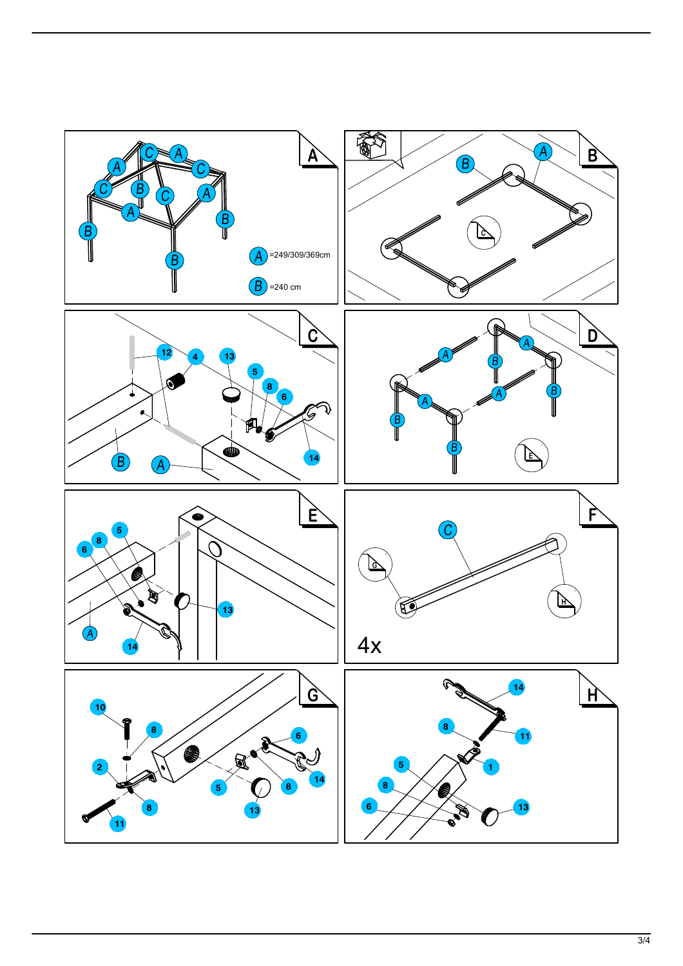